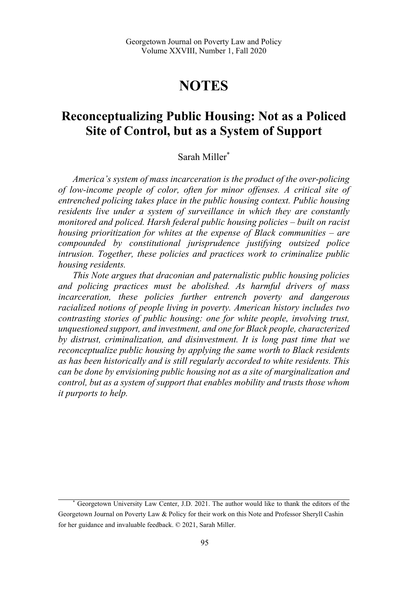# **NOTES**

## **Reconceptualizing Public Housing: Not as a Policed Site of Control, but as a System of Support**

## Sarah Miller\*

*America's system of mass incarceration is the product of the over-policing of low-income people of color, often for minor offenses. A critical site of entrenched policing takes place in the public housing context. Public housing residents live under a system of surveillance in which they are constantly monitored and policed. Harsh federal public housing policies – built on racist housing prioritization for whites at the expense of Black communities – are compounded by constitutional jurisprudence justifying outsized police intrusion. Together, these policies and practices work to criminalize public housing residents.* 

*This Note argues that draconian and paternalistic public housing policies and policing practices must be abolished. As harmful drivers of mass incarceration, these policies further entrench poverty and dangerous racialized notions of people living in poverty. American history includes two contrasting stories of public housing: one for white people, involving trust, unquestioned support, and investment, and one for Black people, characterized by distrust, criminalization, and disinvestment. It is long past time that we reconceptualize public housing by applying the same worth to Black residents as has been historically and is still regularly accorded to white residents. This can be done by envisioning public housing not as a site of marginalization and control, but as a system of support that enables mobility and trusts those whom it purports to help.* 

<sup>\*</sup> Georgetown University Law Center, J.D. 2021. The author would like to thank the editors of the Georgetown Journal on Poverty Law & Policy for their work on this Note and Professor Sheryll Cashin for her guidance and invaluable feedback. © 2021, Sarah Miller.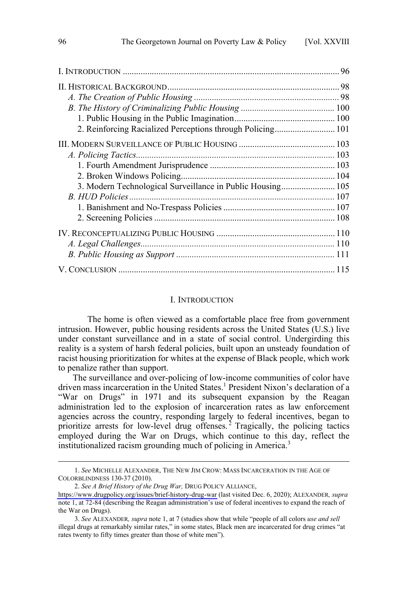| 2. Reinforcing Racialized Perceptions through Policing 101 |  |
|------------------------------------------------------------|--|
|                                                            |  |
|                                                            |  |
|                                                            |  |
|                                                            |  |
| 3. Modern Technological Surveillance in Public Housing 105 |  |
|                                                            |  |
|                                                            |  |
|                                                            |  |
|                                                            |  |
|                                                            |  |
|                                                            |  |
|                                                            |  |

#### I. INTRODUCTION

The home is often viewed as a comfortable place free from government intrusion. However, public housing residents across the United States (U.S.) live under constant surveillance and in a state of social control. Undergirding this reality is a system of harsh federal policies, built upon an unsteady foundation of racist housing prioritization for whites at the expense of Black people, which work to penalize rather than support.

The surveillance and over-policing of low-income communities of color have driven mass incarceration in the United States.<sup>1</sup> President Nixon's declaration of a "War on Drugs" in 1971 and its subsequent expansion by the Reagan administration led to the explosion of incarceration rates as law enforcement agencies across the country, responding largely to federal incentives, began to prioritize arrests for low-level drug offenses.<sup>2</sup> Tragically, the policing tactics employed during the War on Drugs, which continue to this day, reflect the institutionalized racism grounding much of policing in America.<sup>3</sup>

<sup>1.</sup> *See* MICHELLE ALEXANDER, THE NEW JIM CROW: MASS INCARCERATION IN THE AGE OF COLORBLINDNESS 130-37 (2010).

*See A Brief History of the Drug War,* DRUG POLICY ALLIANCE, 2.

<https://www.drugpolicy.org/issues/brief-history-drug-war> (last visited Dec. 6, 2020); ALEXANDER*, supra* note 1, at 72-84 (describing the Reagan administration's use of federal incentives to expand the reach of the War on Drugs).

<sup>3.</sup> *See* ALEXANDER*, supra* note 1, at 7 (studies show that while "people of all colors *use and sell* illegal drugs at remarkably similar rates," in some states, Black men are incarcerated for drug crimes "at rates twenty to fifty times greater than those of white men").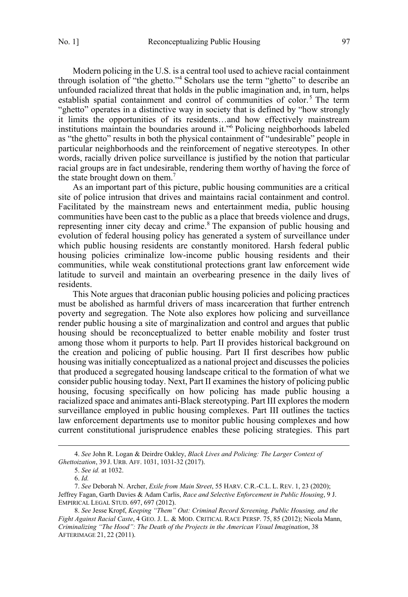Modern policing in the U.S. is a central tool used to achieve racial containment through isolation of "the ghetto."4 Scholars use the term "ghetto" to describe an unfounded racialized threat that holds in the public imagination and, in turn, helps establish spatial containment and control of communities of color.<sup>5</sup> The term "ghetto" operates in a distinctive way in society that is defined by "how strongly it limits the opportunities of its residents…and how effectively mainstream institutions maintain the boundaries around it."6 Policing neighborhoods labeled as "the ghetto" results in both the physical containment of "undesirable" people in particular neighborhoods and the reinforcement of negative stereotypes. In other words, racially driven police surveillance is justified by the notion that particular racial groups are in fact undesirable, rendering them worthy of having the force of the state brought down on them.<sup>7</sup>

As an important part of this picture, public housing communities are a critical site of police intrusion that drives and maintains racial containment and control. Facilitated by the mainstream news and entertainment media, public housing communities have been cast to the public as a place that breeds violence and drugs, representing inner city decay and crime.<sup>8</sup> The expansion of public housing and evolution of federal housing policy has generated a system of surveillance under which public housing residents are constantly monitored. Harsh federal public housing policies criminalize low-income public housing residents and their communities, while weak constitutional protections grant law enforcement wide latitude to surveil and maintain an overbearing presence in the daily lives of residents.

This Note argues that draconian public housing policies and policing practices must be abolished as harmful drivers of mass incarceration that further entrench poverty and segregation. The Note also explores how policing and surveillance render public housing a site of marginalization and control and argues that public housing should be reconceptualized to better enable mobility and foster trust among those whom it purports to help. Part II provides historical background on the creation and policing of public housing. Part II first describes how public housing was initially conceptualized as a national project and discusses the policies that produced a segregated housing landscape critical to the formation of what we consider public housing today. Next, Part II examines the history of policing public housing, focusing specifically on how policing has made public housing a racialized space and animates anti-Black stereotyping. Part III explores the modern surveillance employed in public housing complexes. Part III outlines the tactics law enforcement departments use to monitor public housing complexes and how current constitutional jurisprudence enables these policing strategies. This part

<sup>4.</sup> *See* John R. Logan & Deirdre Oakley, *Black Lives and Policing: The Larger Context of Ghettoization*, 39 J. URB. AFF. 1031, 1031-32 (2017).

<sup>5.</sup> *See id.* at 1032.

<sup>6.</sup> *Id.*

<sup>7.</sup> *See* Deborah N. Archer, *Exile from Main Street*, 55 HARV. C.R.-C.L. L. REV. 1, 23 (2020); Jeffrey Fagan, Garth Davies & Adam Carlis, *Race and Selective Enforcement in Public Housing*, 9 J. EMPIRICAL LEGAL STUD. 697, 697 (2012).

<sup>8.</sup> *See* Jesse Kropf, *Keeping "Them" Out: Criminal Record Screening, Public Housing, and the Fight Against Racial Caste*, 4 GEO. J. L. & MOD. CRITICAL RACE PERSP. 75, 85 (2012); Nicola Mann, *Criminalizing "The Hood": The Death of the Projects in the American Visual Imagination*, 38 AFTERIMAGE 21, 22 (2011).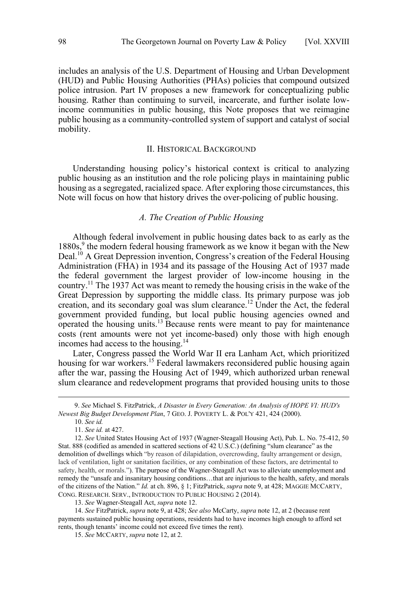<span id="page-3-0"></span>includes an analysis of the U.S. Department of Housing and Urban Development (HUD) and Public Housing Authorities (PHAs) policies that compound outsized police intrusion. Part IV proposes a new framework for conceptualizing public housing. Rather than continuing to surveil, incarcerate, and further isolate lowincome communities in public housing, this Note proposes that we reimagine public housing as a community-controlled system of support and catalyst of social mobility.

#### II. HISTORICAL BACKGROUND

Understanding housing policy's historical context is critical to analyzing public housing as an institution and the role policing plays in maintaining public housing as a segregated, racialized space. After exploring those circumstances, this Note will focus on how that history drives the over-policing of public housing.

## *A. The Creation of Public Housing*

Although federal involvement in public housing dates back to as early as the  $1880s<sup>9</sup>$ , the modern federal housing framework as we know it began with the New Deal.<sup>10</sup> A Great Depression invention, Congress's creation of the Federal Housing Administration (FHA) in 1934 and its passage of the Housing Act of 1937 made the federal government the largest provider of low-income housing in the country.<sup>11</sup> The 1937 Act was meant to remedy the housing crisis in the wake of the Great Depression by supporting the middle class. Its primary purpose was job creation, and its secondary goal was slum clearance.<sup>12</sup> Under the Act, the federal government provided funding, but local public housing agencies owned and operated the housing units.<sup>13</sup> Because rents were meant to pay for maintenance costs (rent amounts were not yet income-based) only those with high enough incomes had access to the housing.<sup>14</sup>

Later, Congress passed the World War II era Lanham Act, which prioritized housing for war workers.<sup>15</sup> Federal lawmakers reconsidered public housing again after the war, passing the Housing Act of 1949, which authorized urban renewal slum clearance and redevelopment programs that provided housing units to those

 <sup>9.</sup> *See* Michael S. FitzPatrick, *A Disaster in Every Generation: An Analysis of HOPE VI: HUD's Newest Big Budget Development Plan*, 7 GEO. J. POVERTY L. & POL'Y 421, 424 (2000).

 <sup>10.</sup> *See id.* 

 <sup>11.</sup> *See id.* at 427.

 <sup>12.</sup> *See* United States Housing Act of 1937 (Wagner-Steagall Housing Act), Pub. L. No. 75-412, 50 Stat. 888 (codified as amended in scattered sections of 42 U.S.C.) (defining "slum clearance" as the demolition of dwellings which "by reason of dilapidation, overcrowding, faulty arrangement or design, lack of ventilation, light or sanitation facilities, or any combination of these factors, are detrimental to safety, health, or morals."). The purpose of the Wagner-Steagall Act was to alleviate unemployment and remedy the "unsafe and insanitary housing conditions…that are injurious to the health, safety, and morals of the citizens of the Nation." *Id.* at ch. 896, § 1; FitzPatrick, *supra* note 9, at 428; MAGGIE MCCARTY, CONG. RESEARCH. SERV., INTRODUCTION TO PUBLIC HOUSING 2 (2014).

 <sup>13.</sup> *See* Wagner-Steagall Act, *supra* note 12.

 <sup>14.</sup> *See* FitzPatrick, *supra* note 9, at 428; *See also* McCarty, *supra* note 12, at 2 (because rent payments sustained public housing operations, residents had to have incomes high enough to afford set rents, though tenants' income could not exceed five times the rent).

 <sup>15.</sup> *See* MCCARTY, *supra* note 12, at 2.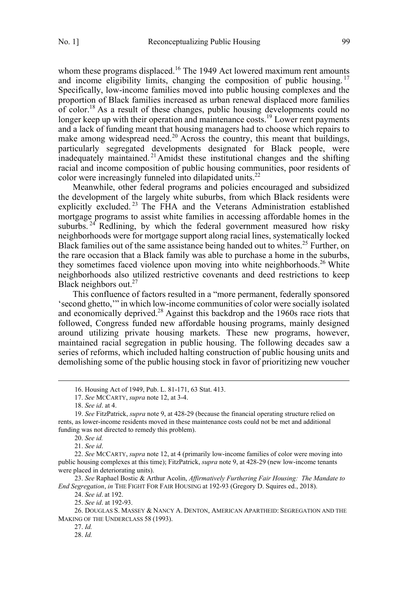whom these programs displaced.<sup>16</sup> The 1949 Act lowered maximum rent amounts and income eligibility limits, changing the composition of public housing.<sup>17</sup> Specifically, low-income families moved into public housing complexes and the proportion of Black families increased as urban renewal displaced more families of color.<sup>18</sup> As a result of these changes, public housing developments could no longer keep up with their operation and maintenance costs.<sup>19</sup> Lower rent payments and a lack of funding meant that housing managers had to choose which repairs to make among widespread need.<sup>20</sup> Across the country, this meant that buildings, particularly segregated developments designated for Black people, were inadequately maintained. 21Amidst these institutional changes and the shifting racial and income composition of public housing communities, poor residents of color were increasingly funneled into dilapidated units.<sup>22</sup>

Meanwhile, other federal programs and policies encouraged and subsidized the development of the largely white suburbs, from which Black residents were explicitly excluded. <sup>23</sup> The FHA and the Veterans Administration established mortgage programs to assist white families in accessing affordable homes in the suburbs.  $24$  Redlining, by which the federal government measured how risky neighborhoods were for mortgage support along racial lines, systematically locked Black families out of the same assistance being handed out to whites.<sup>25</sup> Further, on the rare occasion that a Black family was able to purchase a home in the suburbs, they sometimes faced violence upon moving into white neighborhoods.<sup>26</sup> White neighborhoods also utilized restrictive covenants and deed restrictions to keep Black neighbors out.<sup>27</sup>

This confluence of factors resulted in a "more permanent, federally sponsored 'second ghetto,'" in which low-income communities of color were socially isolated and economically deprived.<sup>28</sup> Against this backdrop and the 1960s race riots that followed, Congress funded new affordable housing programs, mainly designed around utilizing private housing markets. These new programs, however, maintained racial segregation in public housing. The following decades saw a series of reforms, which included halting construction of public housing units and demolishing some of the public housing stock in favor of prioritizing new voucher

21. *See id*.

22. *See* MCCARTY, *supra* note 12, at 4 (primarily low-income families of color were moving into public housing complexes at this time); FitzPatrick, *supra* note 9, at 428-29 (new low-income tenants were placed in deteriorating units).

23. *See* Raphael Bostic & Arthur Acolin, *Affirmatively Furthering Fair Housing: The Mandate to End Segregation*, *in* THE FIGHT FOR FAIR HOUSING at 192-93 (Gregory D. Squires ed., 2018).

24. *See id*. at 192.

25. *See id*. at 192-93.

26. DOUGLAS S. MASSEY & NANCY A. DENTON, AMERICAN APARTHEID: SEGREGATION AND THE MAKING OF THE UNDERCLASS 58 (1993).

28. *Id.*

<sup>16.</sup> Housing Act of 1949, Pub. L. 81-171, 63 Stat. 413.

<sup>17.</sup> *See* MCCARTY, *supra* note 12, at 3-4.

<sup>18.</sup> *See id*. at 4.

<sup>19.</sup> *See* FitzPatrick, *supra* note 9, at 428-29 (because the financial operating structure relied on rents, as lower-income residents moved in these maintenance costs could not be met and additional funding was not directed to remedy this problem).

<sup>20.</sup> *See id.*

<sup>27.</sup> *Id.*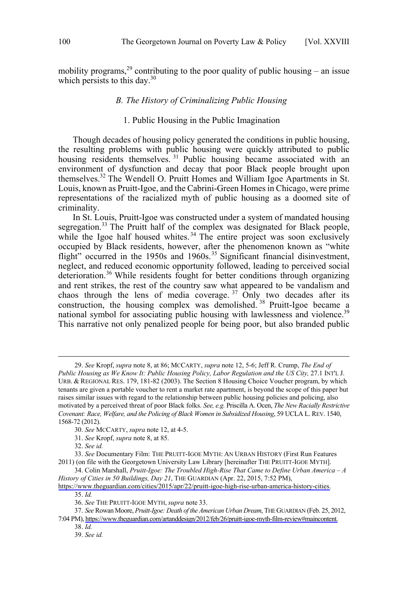<span id="page-5-0"></span>mobility programs,  $^{29}$  contributing to the poor quality of public housing – an issue which persists to this day. $30$ 

## *B. The History of Criminalizing Public Housing*

## 1. Public Housing in the Public Imagination

Though decades of housing policy generated the conditions in public housing, the resulting problems with public housing were quickly attributed to public housing residents themselves.<sup>31</sup> Public housing became associated with an environment of dysfunction and decay that poor Black people brought upon themselves.<sup>32</sup> The Wendell O. Pruitt Homes and William Igoe Apartments in St. Louis, known as Pruitt-Igoe, and the Cabrini-Green Homes in Chicago, were prime representations of the racialized myth of public housing as a doomed site of criminality.

In St. Louis, Pruitt-Igoe was constructed under a system of mandated housing segregation.<sup>33</sup> The Pruitt half of the complex was designated for Black people, while the Igoe half housed whites.<sup>34</sup> The entire project was soon exclusively occupied by Black residents, however, after the phenomenon known as "white flight" occurred in the 1950s and 1960s.<sup>35</sup> Significant financial disinvestment, neglect, and reduced economic opportunity followed, leading to perceived social deterioration.<sup>36</sup> While residents fought for better conditions through organizing and rent strikes, the rest of the country saw what appeared to be vandalism and chaos through the lens of media coverage.  $37$  Only two decades after its construction, the housing complex was demolished. <sup>38</sup> Pruitt-Igoe became a national symbol for associating public housing with lawlessness and violence.<sup>39</sup> This narrative not only penalized people for being poor, but also branded public

<sup>29.</sup> *See* Kropf, *supra* note 8, at 86; MCCARTY, *supra* note 12, 5-6; Jeff R. Crump, *The End of* Public Housing as We Know It: Public Housing Policy, Labor Regulation and the US City, 27.1 INT'L J. URB. & REGIONAL RES. 179, 181-82 (2003). The Section 8 Housing Choice Voucher program, by which tenants are given a portable voucher to rent a market rate apartment, is beyond the scope of this paper but raises similar issues with regard to the relationship between public housing policies and policing, also motivated by a perceived threat of poor Black folks. *See, e.g.* Priscilla A. Ocen, *The New Racially Restrictive Covenant: Race, Welfare, and the Policing of Black Women in Subsidized Housing*, 59 UCLA L. REV. 1540, 1568-72 (2012).

<sup>30.</sup> *See* MCCARTY, *supra* note 12, at 4-5.

<sup>31.</sup> *See* Kropf, *supra* note 8, at 85.

<sup>32.</sup> *See id.*

<sup>33.</sup> *See* Documentary Film: THE PRUITT-IGOE MYTH: AN URBAN HISTORY (First Run Features 2011) (on file with the Georgetown University Law Library [hereinafter THE PRUITT-IGOE MYTH].

<sup>34.</sup> Colin Marshall, *Pruitt-Igoe: The Troubled High-Rise That Came to Define Urban America – A History of Cities in 50 Buildings, Day 21*, THE GUARDIAN (Apr. 22, 2015, 7:52 PM),

[https://www.theguardian.com/cities/2015/apr/22/pruitt-igoe-high-rise-urban-america-history-cities.](https://www.theguardian.com/cities/2015/apr/22/pruitt-igoe-high-rise-urban-america-history-cities) 35. *Id.*

<sup>36.</sup> *See* THE PRUITT-IGOE MYTH, *supra* note 33.

*See* Rowan Moore, *Pruitt-Igoe: Death of the American Urban Dream*, THE GUARDIAN (Feb. 25, 2012, 37. 7:04 PM), [https://www.theguardian.com/artanddesign/2012/feb/26/pruitt-igoe-myth-film-review#maincontent.](https://www.theguardian.com/artanddesign/2012/feb/26/pruitt-igoe-myth-film-review#maincontent)

<sup>38.</sup> *Id.*

<sup>39.</sup> *See id.*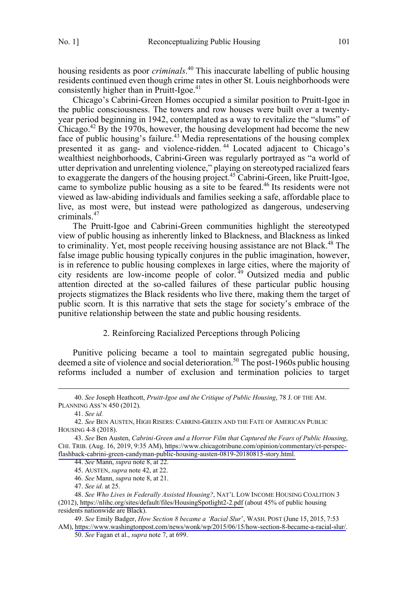<span id="page-6-0"></span>housing residents as poor *criminals*. <sup>40</sup> This inaccurate labelling of public housing residents continued even though crime rates in other St. Louis neighborhoods were consistently higher than in Pruitt-Igoe.<sup>41</sup>

Chicago's Cabrini-Green Homes occupied a similar position to Pruitt-Igoe in the public consciousness. The towers and row houses were built over a twentyyear period beginning in 1942, contemplated as a way to revitalize the "slums" of Chicago.<sup>42</sup> By the 1970s, however, the housing development had become the new face of public housing's failure.<sup>43</sup> Media representations of the housing complex presented it as gang- and violence-ridden.<sup>44</sup> Located adjacent to Chicago's wealthiest neighborhoods, Cabrini-Green was regularly portrayed as "a world of utter deprivation and unrelenting violence," playing on stereotyped racialized fears to exaggerate the dangers of the housing project.<sup>45</sup> Cabrini-Green, like Pruitt-Igoe, came to symbolize public housing as a site to be feared.<sup>46</sup> Its residents were not viewed as law-abiding individuals and families seeking a safe, affordable place to live, as most were, but instead were pathologized as dangerous, undeserving criminals.47

The Pruitt-Igoe and Cabrini-Green communities highlight the stereotyped view of public housing as inherently linked to Blackness, and Blackness as linked to criminality. Yet, most people receiving housing assistance are not Black.<sup>48</sup> The false image public housing typically conjures in the public imagination, however, is in reference to public housing complexes in large cities, where the majority of city residents are low-income people of color.<sup>49</sup> Outsized media and public attention directed at the so-called failures of these particular public housing projects stigmatizes the Black residents who live there, making them the target of public scorn. It is this narrative that sets the stage for society's embrace of the punitive relationship between the state and public housing residents.

## 2. Reinforcing Racialized Perceptions through Policing

Punitive policing became a tool to maintain segregated public housing, deemed a site of violence and social deterioration.50 The post-1960s public housing reforms included a number of exclusion and termination policies to target

 $\overline{a}$ 

<sup>40.</sup> *See* Joseph Heathcott, *Pruitt-Igoe and the Critique of Public Housing*, 78 J. OF THE AM. PLANNING ASS'N 450 (2012).

 <sup>41.</sup> *See id.*

 <sup>42.</sup> *See* BEN AUSTEN, HIGH RISERS: CABRINI-GREEN AND THE FATE OF AMERICAN PUBLIC HOUSING 4-8 (2018).

*See* Ben Austen, *Cabrini-Green and a Horror Film that Captured the Fears of Public Housing*, 43. CHI. TRIB. (Aug. 16, 2019, 9:35 AM), [https://www.chicagotribune.com/opinion/commentary/ct-perspec](https://www.chicagotribune.com/opinion/commentary/ct-perspec-flashback-cabrini-green-candyman-public-housing-austen-0819-20180815-story.html)[flashback-cabrini-green-candyman-public-housing-austen-0819-20180815-story.html.](https://www.chicagotribune.com/opinion/commentary/ct-perspec-flashback-cabrini-green-candyman-public-housing-austen-0819-20180815-story.html) 

<sup>44.</sup> *See* Mann, *supra* note 8, at 22.

 <sup>45.</sup> AUSTEN, *supra* note 42, at 22.

 <sup>46.</sup> *See* Mann, *supra* note 8, at 21.

 <sup>47.</sup> *See id*. at 25.

*See Who Lives in Federally Assisted Housing?*, NAT'L LOW INCOME HOUSING COALITION 3 48. (2012),<https://nlihc.org/sites/default/files/HousingSpotlight2-2.pdf>(about 45% of public housing residents nationwide are Black).

*See* Emily Badger, *How Section 8 became a 'Racial Slur*', WASH. POST (June 15, 2015, 7:53 49. AM), <https://www.washingtonpost.com/news/wonk/wp/2015/06/15/how-section-8-became-a-racial-slur/>.

<sup>50.</sup> *See* Fagan et al., *supra* note 7, at 699.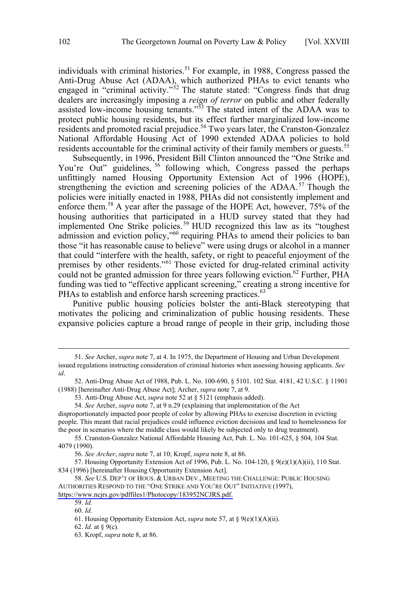individuals with criminal histories.<sup>51</sup> For example, in 1988, Congress passed the Anti-Drug Abuse Act (ADAA), which authorized PHAs to evict tenants who engaged in "criminal activity."<sup>52</sup> The statute stated: "Congress finds that drug dealers are increasingly imposing a *reign of terror* on public and other federally assisted low-income housing tenants."<sup>53</sup> The stated intent of the ADAA was to protect public housing residents, but its effect further marginalized low-income residents and promoted racial prejudice.<sup>54</sup> Two years later, the Cranston-Gonzalez National Affordable Housing Act of 1990 extended ADAA policies to hold residents accountable for the criminal activity of their family members or guests.<sup>55</sup>

Subsequently, in 1996, President Bill Clinton announced the "One Strike and You're Out" guidelines, <sup>56</sup> following which, Congress passed the perhaps unfittingly named Housing Opportunity Extension Act of 1996 (HOPE), strengthening the eviction and screening policies of the ADAA.<sup>57</sup> Though the policies were initially enacted in 1988, PHAs did not consistently implement and enforce them.<sup>58</sup> A year after the passage of the HOPE Act, however,  $75\%$  of the housing authorities that participated in a HUD survey stated that they had implemented One Strike policies.<sup>59</sup> HUD recognized this law as its "toughest admission and eviction policy,"<sup>60</sup> requiring PHAs to amend their policies to ban those "it has reasonable cause to believe" were using drugs or alcohol in a manner that could "interfere with the health, safety, or right to peaceful enjoyment of the premises by other residents."<sup>61</sup> Those evicted for drug-related criminal activity could not be granted admission for three years following eviction.<sup>62</sup> Further, PHA funding was tied to "effective applicant screening," creating a strong incentive for PHAs to establish and enforce harsh screening practices.<sup>63</sup>

Punitive public housing policies bolster the anti-Black stereotyping that motivates the policing and criminalization of public housing residents. These expansive policies capture a broad range of people in their grip, including those

 <sup>51.</sup> *See* Archer, *supra* note 7, at 4. In 1975, the Department of Housing and Urban Development issued regulations instructing consideration of criminal histories when assessing housing applicants. *See id*.

 <sup>52.</sup> Anti-Drug Abuse Act of 1988, Pub. L. No. 100-690, § 5101. 102 Stat. 4181, 42 U.S.C. § 11901 (1988) [hereinafter Anti-Drug Abuse Act]; Archer, *supra* note 7, at 9.

 <sup>53.</sup> Anti-Drug Abuse Act, *supra* note 52 at § 5121 (emphasis added).

 <sup>54.</sup> *See* Archer, *supra* note 7, at 9 n.29 (explaining that implementation of the Act

disproportionately impacted poor people of color by allowing PHAs to exercise discretion in evicting people. This meant that racial prejudices could influence eviction decisions and lead to homelessness for the poor in scenarios where the middle class would likely be subjected only to drug treatment).

 <sup>55.</sup> Cranston-Gonzalez National Affordable Housing Act, Pub. L. No. 101-625, § 504, 104 Stat. 4079 (1990).

 <sup>56.</sup> *See Archer*, *supra* note 7, at 10; Kropf, *supra* note 8, at 86.

 <sup>57.</sup> Housing Opportunity Extension Act of 1996, Pub. L. No. 104-120, § 9(e)(1)(A)(ii), 110 Stat. 834 (1996) [hereinafter Housing Opportunity Extension Act].

<sup>58.</sup> See U.S. DEP'T OF HOUS. & URBAN DEV., MEETING THE CHALLENGE: PUBLIC HOUSING AUTHORITIES RESPOND TO THE "ONE STRIKE AND YOU'RE OUT" INITIATIVE (1997), [https://www.ncjrs.gov/pdffiles1/Photocopy/183952NCJRS.pdf.](https://www.ncjrs.gov/pdffiles1/Photocopy/183952NCJRS.pdf) 

<sup>59.</sup> *Id.* 60. *Id.*

 <sup>61.</sup> Housing Opportunity Extension Act, *supra* note 57, at § 9(e)(1)(A)(ii).

 <sup>62.</sup> *Id*. at § 9(c).

 <sup>63.</sup> Kropf, *supra* note 8, at 86.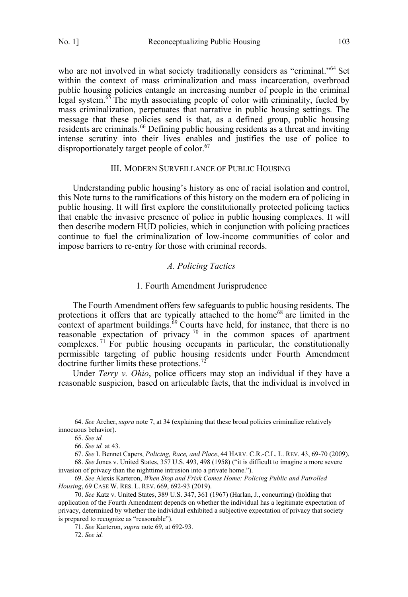<span id="page-8-0"></span>who are not involved in what society traditionally considers as "criminal."<sup>64</sup> Set within the context of mass criminalization and mass incarceration, overbroad public housing policies entangle an increasing number of people in the criminal legal system.<sup>65</sup> The myth associating people of color with criminality, fueled by mass criminalization, perpetuates that narrative in public housing settings. The message that these policies send is that, as a defined group, public housing residents are criminals.<sup>66</sup> Defining public housing residents as a threat and inviting intense scrutiny into their lives enables and justifies the use of police to disproportionately target people of color.<sup>67</sup>

### III. MODERN SURVEILLANCE OF PUBLIC HOUSING

Understanding public housing's history as one of racial isolation and control, this Note turns to the ramifications of this history on the modern era of policing in public housing. It will first explore the constitutionally protected policing tactics that enable the invasive presence of police in public housing complexes. It will then describe modern HUD policies, which in conjunction with policing practices continue to fuel the criminalization of low-income communities of color and impose barriers to re-entry for those with criminal records.

## *A. Policing Tactics*

#### 1. Fourth Amendment Jurisprudence

The Fourth Amendment offers few safeguards to public housing residents. The protections it offers that are typically attached to the home<sup>68</sup> are limited in the context of apartment buildings. ${}^{69}$  Courts have held, for instance, that there is no reasonable expectation of privacy  $70$  in the common spaces of apartment complexes.<sup>71</sup> For public housing occupants in particular, the constitutionally permissible targeting of public housing residents under Fourth Amendment doctrine further limits these protections.<sup>72</sup>

Under *Terry v. Ohio*, police officers may stop an individual if they have a reasonable suspicion, based on articulable facts, that the individual is involved in

 <sup>64.</sup> *See* Archer, *supra* note 7, at 34 (explaining that these broad policies criminalize relatively innocuous behavior).

 <sup>65.</sup> *See id.*

 <sup>66.</sup> *See id.* at 43.

 <sup>67.</sup> *See* I. Bennet Capers, *Policing, Race, and Place*, 44 HARV. C.R.-C.L. L. REV. 43, 69-70 (2009).

 <sup>68.</sup> *See* Jones v. United States, 357 U.S. 493, 498 (1958) ("it is difficult to imagine a more severe invasion of privacy than the nighttime intrusion into a private home.").

 <sup>69.</sup> *See* Alexis Karteron, *When Stop and Frisk Comes Home: Policing Public and Patrolled Housing*, 69 CASE W. RES. L. REV. 669, 692-93 (2019).

 <sup>70.</sup> *See* Katz v. United States, 389 U.S. 347, 361 (1967) (Harlan, J., concurring) (holding that application of the Fourth Amendment depends on whether the individual has a legitimate expectation of privacy, determined by whether the individual exhibited a subjective expectation of privacy that society is prepared to recognize as "reasonable").

 <sup>71.</sup> *See* Karteron, *supra* note 69, at 692-93.

 <sup>72.</sup> *See id.*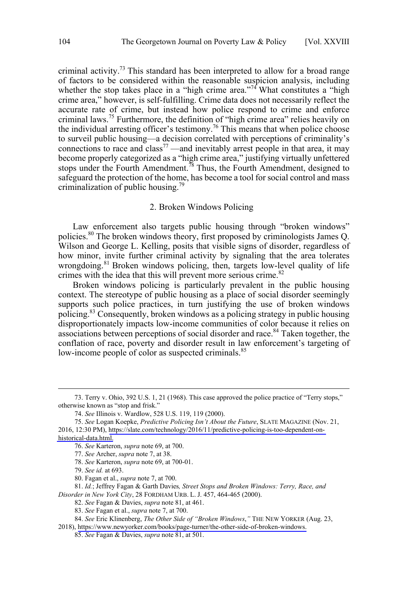<span id="page-9-0"></span>criminal activity.<sup>73</sup> This standard has been interpreted to allow for a broad range of factors to be considered within the reasonable suspicion analysis, including whether the stop takes place in a "high crime area."<sup>74</sup> What constitutes a "high crime area," however, is self-fulfilling. Crime data does not necessarily reflect the accurate rate of crime, but instead how police respond to crime and enforce criminal laws.<sup>75</sup> Furthermore, the definition of "high crime area" relies heavily on the individual arresting officer's testimony.<sup>76</sup> This means that when police choose to surveil public housing—a decision correlated with perceptions of criminality's connections to race and class<sup>77</sup> —and inevitably arrest people in that area, it may become properly categorized as a "high crime area," justifying virtually unfettered stops under the Fourth Amendment.<sup>78</sup> Thus, the Fourth Amendment, designed to safeguard the protection of the home, has become a tool for social control and mass criminalization of public housing.<sup>79</sup>

## 2. Broken Windows Policing

Law enforcement also targets public housing through "broken windows" policies.<sup>80</sup> The broken windows theory, first proposed by criminologists James Q. Wilson and George L. Kelling, posits that visible signs of disorder, regardless of how minor, invite further criminal activity by signaling that the area tolerates wrongdoing.<sup>81</sup> Broken windows policing, then, targets low-level quality of life crimes with the idea that this will prevent more serious crime.<sup>82</sup>

Broken windows policing is particularly prevalent in the public housing context. The stereotype of public housing as a place of social disorder seemingly supports such police practices, in turn justifying the use of broken windows policing.83 Consequently, broken windows as a policing strategy in public housing disproportionately impacts low-income communities of color because it relies on associations between perceptions of social disorder and race.<sup>84</sup> Taken together, the conflation of race, poverty and disorder result in law enforcement's targeting of low-income people of color as suspected criminals.<sup>85</sup>

 <sup>73.</sup> Terry v. Ohio, 392 U.S. 1, 21 (1968). This case approved the police practice of "Terry stops," otherwise known as "stop and frisk."

 <sup>74.</sup> *See* Illinois v. Wardlow, 528 U.S. 119, 119 (2000).

*See* Logan Koepke, *Predictive Policing Isn't About the Future*, SLATE MAGAZINE (Nov. 21, 75. 2016, 12:30 PM), [https://slate.com/technology/2016/11/predictive-policing-is-too-dependent-on](https://slate.com/technology/2016/11/predictive-policing-is-too-dependent-on-historical-data.html)[historical-data.html.](https://slate.com/technology/2016/11/predictive-policing-is-too-dependent-onhistorical-data.html)

<sup>76.</sup> *See* Karteron, *supra* note 69, at 700.

 <sup>77.</sup> *See* Archer, *supra* note 7, at 38.

 <sup>78.</sup> *See* Karteron, *supra* note 69, at 700-01.

 <sup>79.</sup> *See id.* at 693.

 <sup>80.</sup> Fagan et al., *supra* note 7, at 700.

 <sup>81.</sup> *Id.*; Jeffrey Fagan & Garth Davies*, Street Stops and Broken Windows: Terry, Race, and Disorder in New York City*, 28 FORDHAM URB. L. J. 457, 464-465 (2000).

 <sup>82.</sup> *See* Fagan & Davies, *supra* note 81, at 461.

 <sup>83.</sup> *See* Fagan et al., *supra* note 7, at 700.

*See* Eric Klinenberg, *The Other Side of "Broken Windows*,*"* THE NEW YORKER (Aug. 23, 84.

<sup>2018),</sup> [https://www.newyorker.com/books/page-turner/the-other-side-of-broken-windows.](https://www.newyorker.com/books/page-turner/the-other-side-of-broken-windows)

<sup>85.</sup> *See* Fagan & Davies, *supra* note 81, at 501.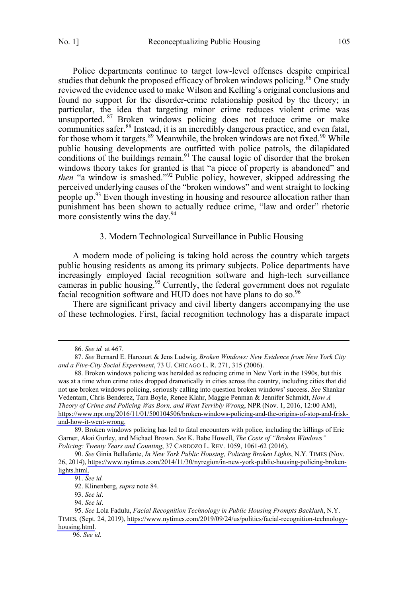<span id="page-10-0"></span>Police departments continue to target low-level offenses despite empirical studies that debunk the proposed efficacy of broken windows policing.<sup>86</sup> One study reviewed the evidence used to make Wilson and Kelling's original conclusions and found no support for the disorder-crime relationship posited by the theory; in particular, the idea that targeting minor crime reduces violent crime was unsupported. <sup>87</sup> Broken windows policing does not reduce crime or make communities safer.<sup>88</sup> Instead, it is an incredibly dangerous practice, and even fatal, for those whom it targets.<sup>89</sup> Meanwhile, the broken windows are not fixed.<sup>90</sup> While public housing developments are outfitted with police patrols, the dilapidated conditions of the buildings remain.<sup>91</sup> The causal logic of disorder that the broken windows theory takes for granted is that "a piece of property is abandoned" and *then* "a window is smashed."<sup>92</sup> Public policy, however, skipped addressing the perceived underlying causes of the "broken windows" and went straight to locking people up.<sup>93</sup> Even though investing in housing and resource allocation rather than punishment has been shown to actually reduce crime, "law and order" rhetoric more consistently wins the day. $94$ 

## 3. Modern Technological Surveillance in Public Housing

A modern mode of policing is taking hold across the country which targets public housing residents as among its primary subjects. Police departments have increasingly employed facial recognition software and high-tech surveillance cameras in public housing.<sup>95</sup> Currently, the federal government does not regulate facial recognition software and HUD does not have plans to do so.<sup>96</sup>

There are significant privacy and civil liberty dangers accompanying the use of these technologies. First, facial recognition technology has a disparate impact

 $\overline{a}$ 

96. *See id*.

<sup>86.</sup> *See id.* at 467.

 <sup>87.</sup> *See* Bernard E. Harcourt & Jens Ludwig, *Broken Windows: New Evidence from New York City and a Five-City Social Experiment*, 73 U. CHICAGO L. R. 271, 315 (2006).

<sup>88.</sup> Broken windows policing was heralded as reducing crime in New York in the 1990s, but this was at a time when crime rates dropped dramatically in cities across the country, including cities that did not use broken windows policing, seriously calling into question broken windows' success. *See* Shankar Vedentam, Chris Benderez, Tara Boyle, Renee Klahr, Maggie Penman & Jennifer Schmidt, *How A Theory of Crime and Policing Was Born, and Went Terribly Wrong*, NPR (Nov. 1, 2016, 12:00 AM), [https://www.npr.org/2016/11/01/500104506/broken-windows-policing-and-the-origins-of-stop-and-frisk](https://www.npr.org/2016/11/01/500104506/broken-windows-policing-and-the-origins-of-stop-and-frisk-and-how-it-went-wrong)[and-how-it-went-wrong.](https://www.npr.org/2016/11/01/500104506/broken-windows-policing-and-the-origins-of-stop-and-frisk-and-how-it-went-wrong)

<sup>89.</sup> Broken windows policing has led to fatal encounters with police, including the killings of Eric Garner, Akai Gurley, and Michael Brown. *See* K. Babe Howell, *The Costs of "Broken Windows" Policing: Twenty Years and Counting*, 37 CARDOZO L. REV. 1059, 1061-62 (2016).

*See* Ginia Bellafante, *In New York Public Housing, Policing Broken Lights*, N.Y. TIMES (Nov. 90. 26, 2014), [https://www.nytimes.com/2014/11/30/nyregion/in-new-york-public-housing-policing-broken](https://www.nytimes.com/2014/11/30/nyregion/in-new-york-public-housing-policing-broken-lights.html)[lights.html.](https://www.nytimes.com/2014/11/30/nyregion/in-new-york-public-housing-policing-broken-lights.html)

<sup>91.</sup> *See id.*

 <sup>92.</sup> Klinenberg, *supra* note 84.

 <sup>93.</sup> *See id*.

 <sup>94.</sup> *See id*.

*See* Lola Fadulu, *Facial Recognition Technology in Public Housing Prompts Backlash*, N.Y. 95. TIMES, (Sept. 24, 2019), [https://www.nytimes.com/2019/09/24/us/politics/facial-recognition-technology](https://www.nytimes.com/2019/09/24/us/politics/facial-recognition-technology-housing.html)[housing.html.](https://www.nytimes.com/2019/09/24/us/politics/facial-recognition-technology-housing.html)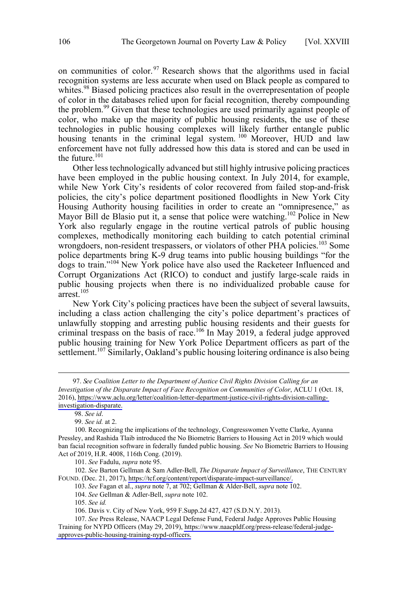on communities of color.<sup>97</sup> Research shows that the algorithms used in facial recognition systems are less accurate when used on Black people as compared to whites.<sup>98</sup> Biased policing practices also result in the overrepresentation of people of color in the databases relied upon for facial recognition, thereby compounding the problem.<sup>99</sup> Given that these technologies are used primarily against people of color, who make up the majority of public housing residents, the use of these technologies in public housing complexes will likely further entangle public housing tenants in the criminal legal system.<sup>100</sup> Moreover, HUD and law enforcement have not fully addressed how this data is stored and can be used in the future.101

Other less technologically advanced but still highly intrusive policing practices have been employed in the public housing context. In July 2014, for example, while New York City's residents of color recovered from failed stop-and-frisk policies, the city's police department positioned floodlights in New York City Housing Authority housing facilities in order to create an "omnipresence," as Mayor Bill de Blasio put it, a sense that police were watching.<sup>102</sup> Police in New York also regularly engage in the routine vertical patrols of public housing complexes, methodically monitoring each building to catch potential criminal wrongdoers, non-resident trespassers, or violators of other PHA policies.<sup>103</sup> Some police departments bring K-9 drug teams into public housing buildings "for the dogs to train."104 New York police have also used the Racketeer Influenced and Corrupt Organizations Act (RICO) to conduct and justify large-scale raids in public housing projects when there is no individualized probable cause for  $arrest$ <sup>105</sup>

New York City's policing practices have been the subject of several lawsuits, including a class action challenging the city's police department's practices of unlawfully stopping and arresting public housing residents and their guests for criminal trespass on the basis of race.<sup>106</sup> In May 2019, a federal judge approved public housing training for New York Police Department officers as part of the settlement.<sup>107</sup> Similarly, Oakland's public housing loitering ordinance is also being

97. See Coalition Letter to the Department of Justice Civil Rights Division Calling for an *Investigation of the Disparate Impact of Face Recognition on Communities of Color*, ACLU 1 (Oct. 18, 2016), [https://www.aclu.org/letter/coalition-letter-department-justice-civil-rights-division-calling](https://www.aclu.org/letter/coalition-letter-department-justice-civil-rights-division-calling-investigation-disparate)[investigation-disparate.](https://www.aclu.org/letter/coalition-letter-department-justice-civil-rights-division-calling-investigation-disparate)

98. *See id*.

 $\overline{a}$ 

99. *See id.* at 2.

101. *See* Fadulu, *supra* note 95.

102. See Barton Gellman & Sam Adler-Bell, *The Disparate Impact of Surveillance*, THE CENTURY FOUND. (Dec. 21, 2017), [https://tcf.org/content/report/disparate-impact-surveillance/.](https://tcf.org/content/report/disparate-impact-surveillance/)

103. *See* Fagan et al., *supra* note 7, at 702; Gellman & Alder-Bell, *supra* note 102.

104. *See* Gellman & Adler-Bell, *supra* note 102.

105. *See id.*

106. Davis v. City of New York, 959 F.Supp.2d 427, 427 (S.D.N.Y. 2013).

 <sup>100.</sup> Recognizing the implications of the technology, Congresswomen Yvette Clarke, Ayanna Pressley, and Rashida Tlaib introduced the No Biometric Barriers to Housing Act in 2019 which would ban facial recognition software in federally funded public housing. *See* No Biometric Barriers to Housing Act of 2019, H.R. 4008, 116th Cong. (2019).

<sup>107.</sup> See Press Release, NAACP Legal Defense Fund, Federal Judge Approves Public Housing Training for NYPD Officers (May 29, 2019), [https://www.naacpldf.org/press-release/federal-judge](https://www.naacpldf.org/press-release/federal-judge-approves-public-housing-training-nypd-officers)[approves-public-housing-training-nypd-officers.](https://www.naacpldf.org/press-release/federal-judge-approves-public-housing-training-nypd-officers)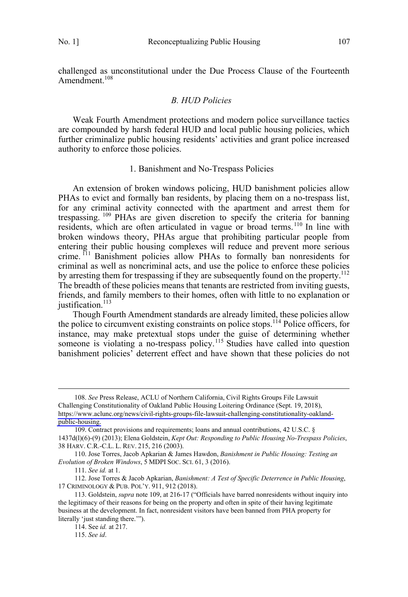<span id="page-12-0"></span>challenged as unconstitutional under the Due Process Clause of the Fourteenth Amendment.<sup>108</sup>

## *B. HUD Policies*

Weak Fourth Amendment protections and modern police surveillance tactics are compounded by harsh federal HUD and local public housing policies, which further criminalize public housing residents' activities and grant police increased authority to enforce those policies.

#### 1. Banishment and No-Trespass Policies

An extension of broken windows policing, HUD banishment policies allow PHAs to evict and formally ban residents, by placing them on a no-trespass list, for any criminal activity connected with the apartment and arrest them for trespassing. <sup>109</sup> PHAs are given discretion to specify the criteria for banning residents, which are often articulated in vague or broad terms.<sup>110</sup> In line with broken windows theory, PHAs argue that prohibiting particular people from entering their public housing complexes will reduce and prevent more serious crime. <sup>111</sup> Banishment policies allow PHAs to formally ban nonresidents for criminal as well as noncriminal acts, and use the police to enforce these policies by arresting them for trespassing if they are subsequently found on the property.<sup>112</sup> The breadth of these policies means that tenants are restricted from inviting guests, friends, and family members to their homes, often with little to no explanation or justification.<sup>113</sup>

Though Fourth Amendment standards are already limited, these policies allow the police to circumvent existing constraints on police stops.<sup>114</sup> Police officers, for instance, may make pretextual stops under the guise of determining whether someone is violating a no-trespass policy.<sup>115</sup> Studies have called into question banishment policies' deterrent effect and have shown that these policies do not

<sup>108.</sup> See Press Release, ACLU of Northern California, Civil Rights Groups File Lawsuit

Challenging Constitutionality of Oakland Public Housing Loitering Ordinance (Sept. 19, 2018), [https://www.aclunc.org/news/civil-rights-groups-file-lawsuit-challenging-constitutionality-oakland](https://www.aclunc.org/news/civil-rights-groups-file-lawsuit-challenging-constitutionality-oakland-public-housing)[public-housing.](https://www.aclunc.org/news/civil-rights-groups-file-lawsuit-challenging-constitutionality-oakland-public-housing)

<sup>109.</sup> Contract provisions and requirements; loans and annual contributions, 42 U.S.C. § 1437d(l)(6)-(9) (2013); Elena Goldstein, *Kept Out: Responding to Public Housing No-Trespass Policies*, 38 HARV. C.R.-C.L. L. REV. 215, 216 (2003).

 <sup>110.</sup> Jose Torres, Jacob Apkarian & James Hawdon, *Banishment in Public Housing: Testing an Evolution of Broken Windows*, 5 MDPI SOC. SCI. 61, 3 (2016).

 <sup>111.</sup> *See id.* at 1.

 <sup>112.</sup> Jose Torres & Jacob Apkarian, *Banishment: A Test of Specific Deterrence in Public Housing*, 17 CRIMINOLOGY & PUB. POL'Y. 911, 912 (2018).

 <sup>113.</sup> Goldstein, *supra* note 109, at 216-17 ("Officials have barred nonresidents without inquiry into the legitimacy of their reasons for being on the property and often in spite of their having legitimate business at the development. In fact, nonresident visitors have been banned from PHA property for literally 'just standing there.'").

 <sup>114.</sup> See *id.* at 217.

 <sup>115.</sup> *See id*.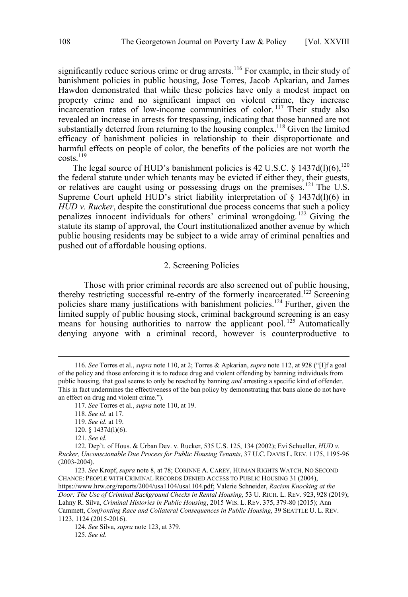<span id="page-13-0"></span>significantly reduce serious crime or drug arrests.<sup>116</sup> For example, in their study of banishment policies in public housing, Jose Torres, Jacob Apkarian, and James Hawdon demonstrated that while these policies have only a modest impact on property crime and no significant impact on violent crime, they increase incarceration rates of low-income communities of color.<sup>117</sup> Their study also revealed an increase in arrests for trespassing, indicating that those banned are not substantially deterred from returning to the housing complex.<sup>118</sup> Given the limited efficacy of banishment policies in relationship to their disproportionate and harmful effects on people of color, the benefits of the policies are not worth the  $costs$ <sup>119</sup>

The legal source of HUD's banishment policies is 42 U.S.C.  $\frac{1437d(1)(6)}{120}$ the federal statute under which tenants may be evicted if either they, their guests, or relatives are caught using or possessing drugs on the premises.<sup>121</sup> The U.S. Supreme Court upheld HUD's strict liability interpretation of  $\S$  1437d(l)(6) in *HUD v. Rucker*, despite the constitutional due process concerns that such a policy penalizes innocent individuals for others' criminal wrongdoing. <sup>122</sup> Giving the statute its stamp of approval, the Court institutionalized another avenue by which public housing residents may be subject to a wide array of criminal penalties and pushed out of affordable housing options.

## 2. Screening Policies

Those with prior criminal records are also screened out of public housing, thereby restricting successful re-entry of the formerly incarcerated.<sup>123</sup> Screening policies share many justifications with banishment policies.124 Further, given the limited supply of public housing stock, criminal background screening is an easy means for housing authorities to narrow the applicant pool.<sup>125</sup> Automatically denying anyone with a criminal record, however is counterproductive to

 $\overline{a}$ 

<sup>116.</sup> *See* Torres et al., *supra* note 110, at 2; Torres & Apkarian, *supra* note 112, at 928 ("[I]f a goal of the policy and those enforcing it is to reduce drug and violent offending by banning individuals from public housing, that goal seems to only be reached by banning *and* arresting a specific kind of offender. This in fact undermines the effectiveness of the ban policy by demonstrating that bans alone do not have an effect on drug and violent crime.").

 <sup>117.</sup> *See* Torres et al., *supra* note 110, at 19.

 <sup>118.</sup> *See id.* at 17.

 <sup>119.</sup> *See id.* at 19.

 <sup>120. § 1437</sup>d(l)(6).

 <sup>121.</sup> *See id.* 

 <sup>122.</sup> Dep't. of Hous. & Urban Dev. v. Rucker, 535 U.S. 125, 134 (2002); Evi Schueller, *HUD v. Rucker, Unconscionable Due Process for Public Housing Tenants*, 37 U.C. DAVIS L. REV. 1175, 1195-96 (2003-2004).

<sup>123.</sup> See Kropf, *supra* note 8, at 78; CORINNE A. CAREY, HUMAN RIGHTS WATCH, NO SECOND CHANCE: PEOPLE WITH CRIMINAL RECORDS DENIED ACCESS TO PUBLIC HOUSING 31 (2004), [https://www.hrw.org/reports/2004/usa1104/usa1104.pdf;](https://www.hrw.org/reports/2004/usa1104/usa1104.pdf) Valerie Schneider, *Racism Knocking at the Door: The Use of Criminal Background Checks in Rental Housing*, 53 U. RICH. L. REV. 923, 928 (2019); Lahny R. Silva, *Criminal Histories in Public Housing*, 2015 WIS. L. REV. 375, 379-80 (2015); Ann Cammett, *Confronting Race and Collateral Consequences in Public Housing*, 39 SEATTLE U. L. REV. 1123, 1124 (2015-2016).

<sup>124.</sup> *See* Silva, *supra* note 123, at 379.

 <sup>125.</sup> *See id.*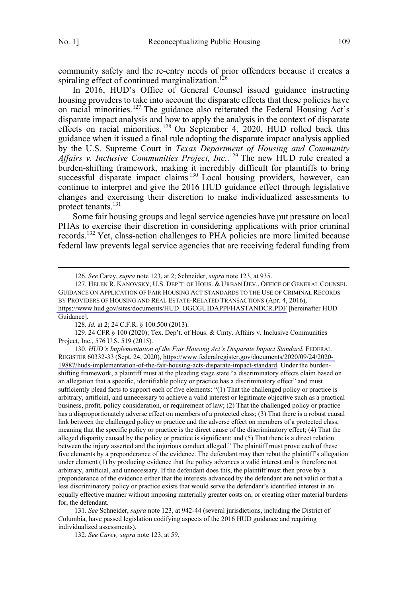community safety and the re-entry needs of prior offenders because it creates a spiraling effect of continued marginalization.<sup>126</sup>

In 2016, HUD's Office of General Counsel issued guidance instructing housing providers to take into account the disparate effects that these policies have on racial minorities.<sup>127</sup> The guidance also reiterated the Federal Housing Act's disparate impact analysis and how to apply the analysis in the context of disparate effects on racial minorities. <sup>128</sup> On September 4, 2020, HUD rolled back this guidance when it issued a final rule adopting the disparate impact analysis applied by the U.S. Supreme Court in *Texas Department of Housing and Community Affairs v. Inclusive Communities Project, Inc.*. <sup>129</sup> The new HUD rule created a burden-shifting framework, making it incredibly difficult for plaintiffs to bring successful disparate impact claims<sup>130</sup> Local housing providers, however, can continue to interpret and give the 2016 HUD guidance effect through legislative changes and exercising their discretion to make individualized assessments to protect tenants.131

Some fair housing groups and legal service agencies have put pressure on local PHAs to exercise their discretion in considering applications with prior criminal records.<sup>132</sup> Yet, class-action challenges to PHA policies are more limited because federal law prevents legal service agencies that are receiving federal funding from

 129. 24 CFR § 100 (2020); Tex. Dep't. of Hous. & Cmty. Affairs v. Inclusive Communities Project, Inc., 576 U.S. 519 (2015).

130. HUD's Implementation of the Fair Housing Act's Disparate Impact Standard, FEDERAL REGISTER 60332-33 (Sept. 24, 2020), [https://www.federalregister.gov/documents/2020/09/24/2020-](https://www.federalregister.gov/documents/2020/09/24/2020-19887/huds-implementation-of-the-fair-housing-acts-disparate-impact-standard) [19887/huds-implementation-of-the-fair-housing-acts-disparate-impact-standard.](https://www.federalregister.gov/documents/2020/09/24/2020-19887/huds-implementation-of-the-fair-housing-acts-disparate-impact-standard) Under the burdenshifting framework, a plaintiff must at the pleading stage state "a discriminatory effects claim based on an allegation that a specific, identifiable policy or practice has a discriminatory effect" and must sufficiently plead facts to support each of five elements: "(1) That the challenged policy or practice is arbitrary, artificial, and unnecessary to achieve a valid interest or legitimate objective such as a practical business, profit, policy consideration, or requirement of law; (2) That the challenged policy or practice has a disproportionately adverse effect on members of a protected class; (3) That there is a robust causal link between the challenged policy or practice and the adverse effect on members of a protected class, meaning that the specific policy or practice is the direct cause of the discriminatory effect; (4) That the alleged disparity caused by the policy or practice is significant; and (5) That there is a direct relation between the injury asserted and the injurious conduct alleged." The plaintiff must prove each of these five elements by a preponderance of the evidence. The defendant may then rebut the plaintiff's allegation under element (1) by producing evidence that the policy advances a valid interest and is therefore not arbitrary, artificial, and unnecessary. If the defendant does this, the plaintiff must then prove by a preponderance of the evidence either that the interests advanced by the defendant are not valid or that a less discriminatory policy or practice exists that would serve the defendant's identified interest in an equally effective manner without imposing materially greater costs on, or creating other material burdens for, the defendant.

131. *See* Schneider, *supra* note 123, at 942-44 (several jurisdictions, including the District of Columbia, have passed legislation codifying aspects of the 2016 HUD guidance and requiring individualized assessments).

132. *See Carey, supra* note 123, at 59.

 <sup>126.</sup> *See* Carey, *supra* note 123, at 2; Schneider, *supra* note 123, at 935.

<sup>127.</sup> HELEN R. KANOVSKY, U.S. DEP'T OF HOUS. & URBAN DEV., OFFICE OF GENERAL COUNSEL GUIDANCE ON APPLICATION OF FAIR HOUSING ACT STANDARDS TO THE USE OF CRIMINAL RECORDS BY PROVIDERS OF HOUSING AND REAL ESTATE-RELATED TRANSACTIONS (Apr. 4, 2016), [https://www.hud.gov/sites/documents/HUD\\_OGCGUIDAPPFHASTANDCR.PDF](https://www.hud.gov/sites/documents/HUD_OGCGUIDAPPFHASTANDCR.PDF) [hereinafter HUD Guidance].

<sup>128.</sup> *Id.* at 2; 24 C.F.R. § 100.500 (2013).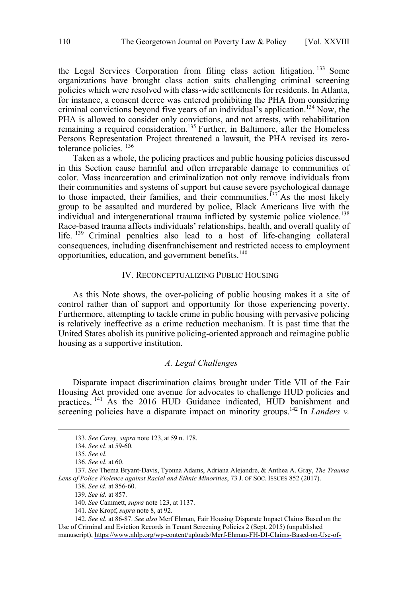<span id="page-15-0"></span>the Legal Services Corporation from filing class action litigation. <sup>133</sup> Some organizations have brought class action suits challenging criminal screening policies which were resolved with class-wide settlements for residents. In Atlanta, for instance, a consent decree was entered prohibiting the PHA from considering criminal convictions beyond five years of an individual's application.134 Now, the PHA is allowed to consider only convictions, and not arrests, with rehabilitation remaining a required consideration.<sup>135</sup> Further, in Baltimore, after the Homeless Persons Representation Project threatened a lawsuit, the PHA revised its zerotolerance policies. <sup>136</sup>

Taken as a whole, the policing practices and public housing policies discussed in this Section cause harmful and often irreparable damage to communities of color. Mass incarceration and criminalization not only remove individuals from their communities and systems of support but cause severe psychological damage to those impacted, their families, and their communities.<sup>137</sup> As the most likely group to be assaulted and murdered by police, Black Americans live with the individual and intergenerational trauma inflicted by systemic police violence.<sup>138</sup> Race-based trauma affects individuals' relationships, health, and overall quality of life. <sup>139</sup> Criminal penalties also lead to a host of life-changing collateral consequences, including disenfranchisement and restricted access to employment opportunities, education, and government benefits.<sup>140</sup>

## IV. RECONCEPTUALIZING PUBLIC HOUSING

As this Note shows, the over-policing of public housing makes it a site of control rather than of support and opportunity for those experiencing poverty. Furthermore, attempting to tackle crime in public housing with pervasive policing is relatively ineffective as a crime reduction mechanism. It is past time that the United States abolish its punitive policing-oriented approach and reimagine public housing as a supportive institution.

## *A. Legal Challenges*

Disparate impact discrimination claims brought under Title VII of the Fair Housing Act provided one avenue for advocates to challenge HUD policies and practices.<sup>141</sup> As the 2016 HUD Guidance indicated, HUD banishment and screening policies have a disparate impact on minority groups.<sup>142</sup> In *Landers v*.

 <sup>133.</sup> *See Carey, supra* note 123, at <sup>59</sup> n. 178.

 <sup>134.</sup> *See id.* at 59-60*.*

 <sup>135.</sup> *See id.*

 <sup>136.</sup> *See id.* at 60.

 <sup>137.</sup> *See* Thema Bryant-Davis, Tyonna Adams, Adriana Alejandre, & Anthea A. Gray, *The Trauma Lens of Police Violence against Racial and Ethnic Minorities*, 73 J. OF SOC. ISSUES 852 (2017).

 <sup>138.</sup> *See id.* at 856-60.

 <sup>139.</sup> *See id.* at 857.

 <sup>140.</sup> *See* Cammett, *supra* note 123, at 1137.

 <sup>141.</sup> *See* Kropf, *supra* note 8, at 92.

*See id*. at 86-87. *See also* Merf Ehman*,* Fair Housing Disparate Impact Claims Based on the 142. Use of Criminal and Eviction Records in Tenant Screening Policies 2 (Sept. 2015) (unpublished manuscript), [https://www.nhlp.org/wp-content/uploads/Merf-Ehman-FH-DI-Claims-Based-on-Use-of-](https://www.nhlp.org/wp-content/uploads/Merf-Ehman-FH-DI-Claims-Based-on-Use-of-Criminal-and-Eviction-Records-Sept.-2015.pdf)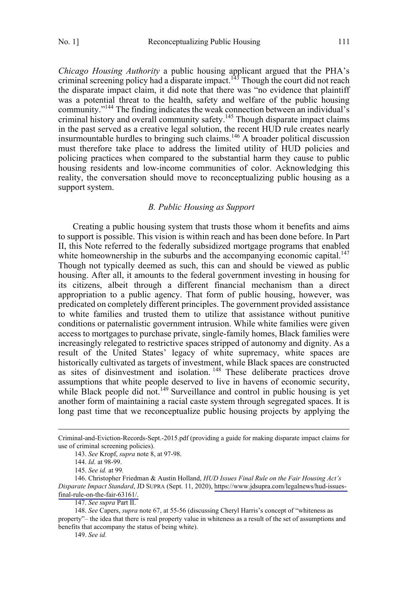<span id="page-16-0"></span>*Chicago Housing Authority* a public housing applicant argued that the PHA's criminal screening policy had a disparate impact.<sup>143</sup> Though the court did not reach the disparate impact claim, it did note that there was "no evidence that plaintiff was a potential threat to the health, safety and welfare of the public housing community."144 The finding indicates the weak connection between an individual's criminal history and overall community safety.<sup>145</sup> Though disparate impact claims in the past served as a creative legal solution, the recent HUD rule creates nearly insurmountable hurdles to bringing such claims.<sup>146</sup> A broader political discussion must therefore take place to address the limited utility of HUD policies and policing practices when compared to the substantial harm they cause to public housing residents and low-income communities of color. Acknowledging this reality, the conversation should move to reconceptualizing public housing as a support system.

## *B. Public Housing as Support*

Creating a public housing system that trusts those whom it benefits and aims to support is possible. This vision is within reach and has been done before. In Part II, this Note referred to the federally subsidized mortgage programs that enabled white homeownership in the suburbs and the accompanying economic capital. $^{147}$ Though not typically deemed as such, this can and should be viewed as public housing. After all, it amounts to the federal government investing in housing for its citizens, albeit through a different financial mechanism than a direct appropriation to a public agency. That form of public housing, however, was predicated on completely different principles. The government provided assistance to white families and trusted them to utilize that assistance without punitive conditions or paternalistic government intrusion. While white families were given access to mortgages to purchase private, single-family homes, Black families were increasingly relegated to restrictive spaces stripped of autonomy and dignity. As a result of the United States' legacy of white supremacy, white spaces are historically cultivated as targets of investment, while Black spaces are constructed as sites of disinvestment and isolation.<sup>148</sup> These deliberate practices drove assumptions that white people deserved to live in havens of economic security, while Black people did not.<sup>149</sup> Surveillance and control in public housing is yet another form of maintaining a racial caste system through segregated spaces. It is long past time that we reconceptualize public housing projects by applying the

Criminal-and-Eviction-Records-Se pt.-2015.pdf (providing a guide for making disparate impact claims for use of criminal screening policies).

<sup>143.</sup> *See* Kropf, *supra* note 8, at 97-98.

 <sup>144.</sup> *Id*. at 98-99.

 <sup>145.</sup> *See id.* at 99*.*

<sup>146.</sup> Christopher Friedman & Austin Holland, *HUD Issues Final Rule on the Fair Housing Act's Disparate Impact Standard*, JD SUPRA (Sept. 11, 2020), [https://www.jdsupra.com/legalnews/hud-issues](https://www.jdsupra.com/legalnews/hud-issues-final-rule-on-the-fair-63161/)[final-rule-on-the-fair-63161/.](https://www.jdsupra.com/legalnews/hud-issues-final-rule-on-the-fair-63161/)

<sup>147.</sup> *See supra* Part II.

 <sup>148.</sup> *See* Capers, *supra* note 67, at 55-56 (discussing Cheryl Harris's concept of "whiteness as property"– the idea that there is real property value in whiteness as a result of the set of assumptions and benefits that accompany the status of being white).

 <sup>149.</sup> *See id.*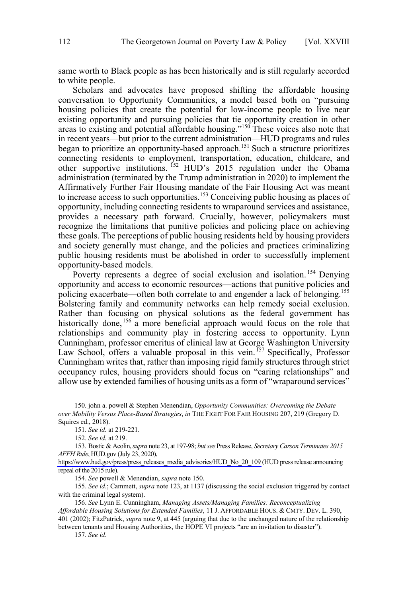same worth to Black people as has been historically and is still regularly accorded to white people.

Scholars and advocates have proposed shifting the affordable housing conversation to Opportunity Communities, a model based both on "pursuing housing policies that create the potential for low-income people to live near existing opportunity and pursuing policies that tie opportunity creation in other areas to existing and potential affordable housing."150 These voices also note that in recent years—but prior to the current administration—HUD programs and rules began to prioritize an opportunity-based approach.<sup>151</sup> Such a structure prioritizes connecting residents to employment, transportation, education, childcare, and other supportive institutions. <sup>152</sup> HUD's 2015 regulation under the Obama administration (terminated by the Trump administration in 2020) to implement the Affirmatively Further Fair Housing mandate of the Fair Housing Act was meant to increase access to such opportunities.<sup>153</sup> Conceiving public housing as places of opportunity, including connecting residents to wraparound services and assistance, provides a necessary path forward. Crucially, however, policymakers must recognize the limitations that punitive policies and policing place on achieving these goals. The perceptions of public housing residents held by housing providers and society generally must change, and the policies and practices criminalizing public housing residents must be abolished in order to successfully implement opportunity-based models.

Poverty represents a degree of social exclusion and isolation.<sup>154</sup> Denving opportunity and access to economic resources—actions that punitive policies and policing exacerbate—often both correlate to and engender a lack of belonging.<sup>155</sup> Bolstering family and community networks can help remedy social exclusion. Rather than focusing on physical solutions as the federal government has historically done,  $156$  a more beneficial approach would focus on the role that relationships and community play in fostering access to opportunity. Lynn Cunningham, professor emeritus of clinical law at George Washington University Law School, offers a valuable proposal in this vein.<sup>157</sup> Specifically, Professor Cunningham writes that, rather than imposing rigid family structures through strict occupancy rules, housing providers should focus on "caring relationships" and allow use by extended families of housing units as a form of "wraparound services"

 155. *See id.*; Cammett, *supra* note 123, at 1137 (discussing the social exclusion triggered by contact with the criminal legal system).

157. *See id*.

 <sup>150.</sup> john a. powell & Stephen Menendian, *Opportunity Communities: Overcoming the Debate over Mobility Versus Place-Based Strategies*, *in* THE FIGHT FOR FAIR HOUSING 207, 219 (Gregory D. Squires ed., 2018).

 <sup>151.</sup> *See id.* at 219-221*.*

 <sup>152.</sup> *See id*. at 219.

Bostic & Acolin, *supra* note 23, at 197-98; *but see* Press Release, *Secretary Carson Terminates 2015*  153. *AFFH Rule*, HUD.gov (July 23, 2020),

[https://www.hud.gov/press/press\\_releases\\_media\\_advisories/HUD\\_No\\_20\\_109](https://www.hud.gov/press/press_releases_media_advisories/HUD_No_20_109) (HUD press release announcing repeal of the 2015 rule).

<sup>154.</sup> *See* powell & Menendian, *supra* note 150.

 <sup>156.</sup> *See* Lynn E. Cunningham, *Managing Assets/Managing Families: Reconceptualizing Affordable Housing Solutions for Extended Families*, 11 J. AFFORDABLE HOUS. & CMTY. DEV. L. 390, 401 (2002); FitzPatrick, *supra* note 9, at 445 (arguing that due to the unchanged nature of the relationship between tenants and Housing Authorities, the HOPE VI projects "are an invitation to disaster").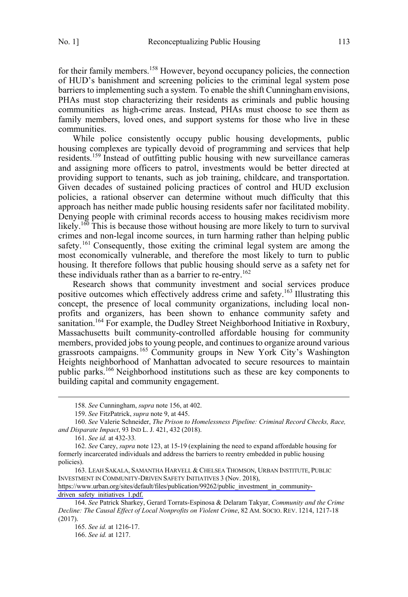for their family members.<sup>158</sup> However, beyond occupancy policies, the connection of HUD's banishment and screening policies to the criminal legal system pose barriers to implementing such a system. To enable the shift Cunningham envisions, PHAs must stop characterizing their residents as criminals and public housing communities as high-crime areas. Instead, PHAs must choose to see them as family members, loved ones, and support systems for those who live in these communities.

While police consistently occupy public housing developments, public housing complexes are typically devoid of programming and services that help residents.<sup>159</sup> Instead of outfitting public housing with new surveillance cameras and assigning more officers to patrol, investments would be better directed at providing support to tenants, such as job training, childcare, and transportation. Given decades of sustained policing practices of control and HUD exclusion policies, a rational observer can determine without much difficulty that this approach has neither made public housing residents safer nor facilitated mobility. Denying people with criminal records access to housing makes recidivism more likely.<sup>160</sup> This is because those without housing are more likely to turn to survival crimes and non-legal income sources, in turn harming rather than helping public safety.<sup>161</sup> Consequently, those exiting the criminal legal system are among the most economically vulnerable, and therefore the most likely to turn to public housing. It therefore follows that public housing should serve as a safety net for these individuals rather than as a barrier to re-entry.<sup>162</sup>

Research shows that community investment and social services produce positive outcomes which effectively address crime and safety.<sup>163</sup> Illustrating this concept, the presence of local community organizations, including local nonprofits and organizers, has been shown to enhance community safety and sanitation.<sup>164</sup> For example, the Dudley Street Neighborhood Initiative in Roxbury, Massachusetts built community-controlled affordable housing for community members, provided jobs to young people, and continues to organize around various grassroots campaigns. <sup>165</sup> Community groups in New York City's Washington Heights neighborhood of Manhattan advocated to secure resources to maintain public parks.<sup>166</sup> Neighborhood institutions such as these are key components to building capital and community engagement.

[https://www.urban.org/sites/default/files/publication/99262/public\\_investment\\_in\\_community](https://www.urban.org/sites/default/files/publication/99262/public_investment_in_community-driven_safety_initiatives_1.pdf)driven safety initiatives 1.pdf.

 <sup>158.</sup> *See* Cunningham, *supra* note 156, at 402.

 <sup>159.</sup> *See* FitzPatrick, *supra* note 9, at 445.

 <sup>160.</sup> *See* Valerie Schneider, *The Prison to Homelessness Pipeline: Criminal Record Checks, Race, and Disparate Impact*, 93 IND L. J. 421, 432 (2018).

 <sup>161.</sup> *See id.* at 432-33*.*

 <sup>162.</sup> *See* Carey, *supra* note 123, at 15-19 (explaining the need to expand affordable housing for formerly incarcerated individuals and address the barriers to reentry embedded in public housing policies).

<sup>163.</sup> LEAH SAKALA, SAMANTHA HARVELL & CHELSEA THOMSON, URBAN INSTITUTE, PUBLIC INVESTMENT IN COMMUNITY-DRIVEN SAFETY INITIATIVES 3 (Nov. 2018),

<sup>164.</sup> *See* Patrick Sharkey, Gerard Torrats-Espinosa & Delaram Takyar, *Community and the Crime Decline: The Causal Effect of Local Nonprofits on Violent Crime*, 82 AM. SOCIO. REV. 1214, 1217-18 (2017).

 <sup>165.</sup> *See id.* at 1216-17.

 <sup>166.</sup> *See id.* at 1217.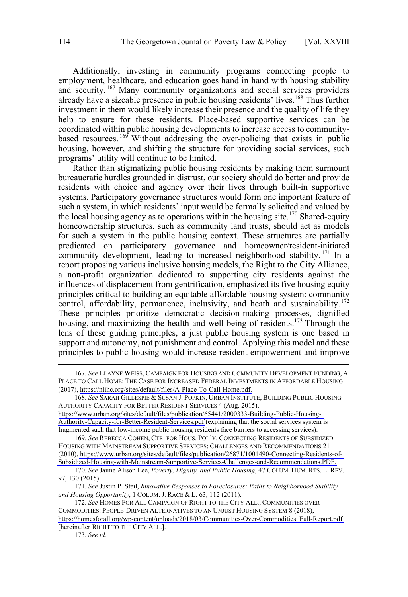Additionally, investing in community programs connecting people to employment, healthcare, and education goes hand in hand with housing stability and security. <sup>167</sup> Many community organizations and social services providers already have a sizeable presence in public housing residents' lives.<sup>168</sup> Thus further investment in them would likely increase their presence and the quality of life they help to ensure for these residents. Place-based supportive services can be coordinated within public housing developments to increase access to communitybased resources.<sup>169</sup> Without addressing the over-policing that exists in public housing, however, and shifting the structure for providing social services, such programs' utility will continue to be limited.

Rather than stigmatizing public housing residents by making them surmount bureaucratic hurdles grounded in distrust, our society should do better and provide residents with choice and agency over their lives through built-in supportive systems. Participatory governance structures would form one important feature of such a system, in which residents' input would be formally solicited and valued by the local housing agency as to operations within the housing site.<sup>170</sup> Shared-equity homeownership structures, such as community land trusts, should act as models for such a system in the public housing context. These structures are partially predicated on participatory governance and homeowner/resident-initiated community development, leading to increased neighborhood stability.<sup>171</sup> In a report proposing various inclusive housing models, the Right to the City Alliance, a non-profit organization dedicated to supporting city residents against the influences of displacement from gentrification, emphasized its five housing equity principles critical to building an equitable affordable housing system: community control, affordability, permanence, inclusivity, and heath and sustainability.<sup>172</sup> These principles prioritize democratic decision-making processes, dignified housing, and maximizing the health and well-being of residents.<sup>173</sup> Through the lens of these guiding principles, a just public housing system is one based in support and autonomy, not punishment and control. Applying this model and these principles to public housing would increase resident empowerment and improve

169. See REBECCA COHEN, CTR. FOR HOUS. POL'Y, CONNECTING RESIDENTS OF SUBSIDIZED HOUSING WITH MAINSTREAM SUPPORTIVE SERVICES: CHALLENGES AND RECOMMENDATIONS 21 (2010), [https://www.urban.org/sites/default/files/publication/26871/1001490-Connecting-Residents-of-](https://www.urban.org/sites/default/files/publication/26871/1001490-Connecting-Residents-of-Subsidized-Housing-with-Mainstream-Supportive-Services-Challenges-and-Recommendations.PDF)[Subsidized-Housing-with-Mainstream-Supportive-Services-Challenges-and-Recommendations.PDF.](https://www.urban.org/sites/default/files/publication/26871/1001490-Connecting-Residents-of-Subsidized-Housing-with-Mainstream-Supportive-Services-Challenges-and-Recommendations.PDF) 

 171. *See* Justin P. Steil, *Innovative Responses to Foreclosures: Paths to Neighborhood Stability and Housing Opportunity*, 1 COLUM. J. RACE & L. 63, 112 (2011).

*See* ELAYNE WEISS, CAMPAIGN FOR HOUSING AND COMMUNITY DEVELOPMENT FUNDING, A 167. PLACE TO CALL HOME: THE CASE FOR INCREASED FEDERAL INVESTMENTS IN AFFORDABLE HOUSING (2017), [https://nlihc.org/sites/default/files/A-Place-To-Call-Home.pdf.](https://nlihc.org/sites/default/files/A-Place-To-Call-Home.pdf) 

*See* SARAH GILLESPIE & SUSAN J. POPKIN, URBAN INSTITUTE, BUILDING PUBLIC HOUSING 168. AUTHORITY CAPACITY FOR BETTER RESIDENT SERVICES 4 (Aug. 2015),

[https://www.urban.org/sites/default/files/publication/65441/2000333-Building-Public-Housing-](https://www.urban.org/sites/default/files/publication/65441/2000333-Building-Public-Housing-Authority-Capacity-for-Better-Resident-Services.pdf)[Authority-Capacity-for-Better-Resident-Services.pdf](https://www.urban.org/sites/default/files/publication/65441/2000333-Building-Public-Housing-Authority-Capacity-for-Better-Resident-Services.pdf) (explaining that the social services system is fragmented such that low-income public housing residents face barriers to accessing services).

<sup>170.</sup> *See* Jaime Alison Lee, *Poverty, Dignity, and Public Housing*, 47 COLUM. HUM. RTS. L. REV. 97, 130 (2015).

<sup>172.</sup> See HOMES FOR ALL CAMPAIGN OF RIGHT TO THE CITY ALL., COMMUNITIES OVER COMMODITIES: PEOPLE-DRIVEN ALTERNATIVES TO AN UNJUST HOUSING SYSTEM 8 (2018), [https://homesforall.org/wp-content/uploads/2018/03/Communities-Over-Commodities\\_Full-Report.pdf](https://homesforall.org/wp-content/uploads/2018/03/Communities-Over-Commodities_Full-Report.pdf)  [hereinafter RIGHT TO THE CITY ALL.].

<sup>173.</sup> *See id.*